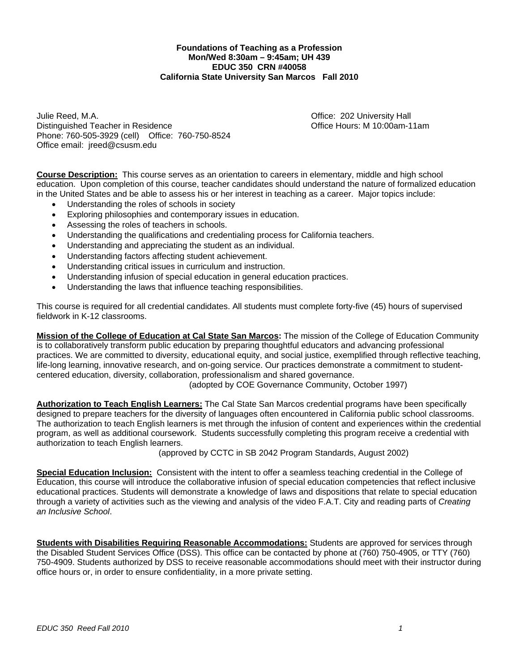## **Foundations of Teaching as a Profession Mon/Wed 8:30am – 9:45am; UH 439 EDUC 350 CRN #40058 California State University San Marcos Fall 2010**

 Phone: 760-505-3929 (cell) Office: 760-750-8524 Julie Reed, M.A. Office: 202 University Hall Distinguished Teacher in Residence Office Hours: M 10:00am-11am Office email: jreed@csusm.edu

**Course Description:** This course serves as an orientation to careers in elementary, middle and high school education. Upon completion of this course, teacher candidates should understand the nature of formalized education in the United States and be able to assess his or her interest in teaching as a career. Major topics include:

- Understanding the roles of schools in society
- Exploring philosophies and contemporary issues in education.
- Assessing the roles of teachers in schools.
- Understanding the qualifications and credentialing process for California teachers.
- Understanding and appreciating the student as an individual.
- Understanding factors affecting student achievement.
- Understanding critical issues in curriculum and instruction.
- Understanding infusion of special education in general education practices.
- Understanding the laws that influence teaching responsibilities.

This course is required for all credential candidates. All students must complete forty-five (45) hours of supervised fieldwork in K-12 classrooms.

**Mission of the College of Education at Cal State San Marcos:** The mission of the College of Education Community is to collaboratively transform public education by preparing thoughtful educators and advancing professional practices. We are committed to diversity, educational equity, and social justice, exemplified through reflective teaching, life-long learning, innovative research, and on-going service. Our practices demonstrate a commitment to studentcentered education, diversity, collaboration, professionalism and shared governance.

(adopted by COE Governance Community, October 1997)

**Authorization to Teach English Learners:** The Cal State San Marcos credential programs have been specifically designed to prepare teachers for the diversity of languages often encountered in California public school classrooms. The authorization to teach English learners is met through the infusion of content and experiences within the credential program, as well as additional coursework. Students successfully completing this program receive a credential with authorization to teach English learners.

(approved by CCTC in SB 2042 Program Standards, August 2002)

 **Special Education Inclusion:** Consistent with the intent to offer a seamless teaching credential in the College of Education, this course will introduce the collaborative infusion of special education competencies that reflect inclusive educational practices. Students will demonstrate a knowledge of laws and dispositions that relate to special education through a variety of activities such as the viewing and analysis of the video F.A.T. City and reading parts of *Creating an Inclusive School*.

**Students with Disabilities Requiring Reasonable Accommodations:** Students are approved for services through the Disabled Student Services Office (DSS). This office can be contacted by phone at (760) 750-4905, or TTY (760) 750-4909. Students authorized by DSS to receive reasonable accommodations should meet with their instructor during office hours or, in order to ensure confidentiality, in a more private setting.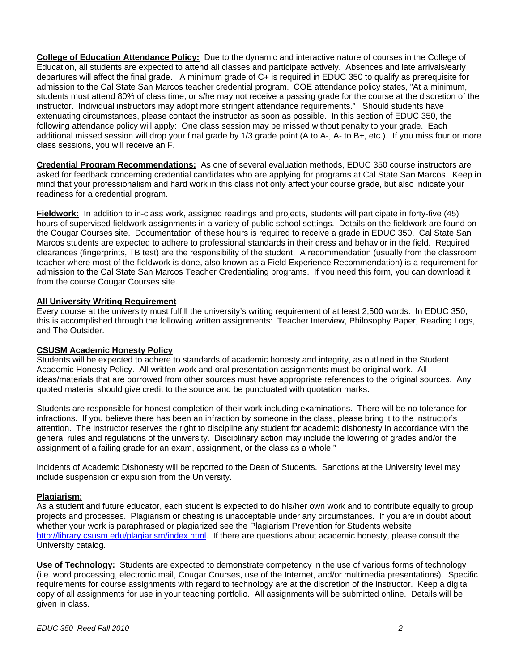**College of Education Attendance Policy:** Due to the dynamic and interactive nature of courses in the College of Education, all students are expected to attend all classes and participate actively. Absences and late arrivals/early departures will affect the final grade. A minimum grade of C+ is required in EDUC 350 to qualify as prerequisite for admission to the Cal State San Marcos teacher credential program. COE attendance policy states, "At a minimum, students must attend 80% of class time, or s/he may not receive a passing grade for the course at the discretion of the instructor. Individual instructors may adopt more stringent attendance requirements." Should students have extenuating circumstances, please contact the instructor as soon as possible. In this section of EDUC 350, the following attendance policy will apply: One class session may be missed without penalty to your grade. Each additional missed session will drop your final grade by 1/3 grade point (A to A-, A- to B+, etc.). If you miss four or more class sessions, you will receive an F.

**Credential Program Recommendations:** As one of several evaluation methods, EDUC 350 course instructors are asked for feedback concerning credential candidates who are applying for programs at Cal State San Marcos. Keep in mind that your professionalism and hard work in this class not only affect your course grade, but also indicate your readiness for a credential program.

**Fieldwork:** In addition to in-class work, assigned readings and projects, students will participate in forty-five (45) hours of supervised fieldwork assignments in a variety of public school settings. Details on the fieldwork are found on the Cougar Courses site. Documentation of these hours is required to receive a grade in EDUC 350. Cal State San Marcos students are expected to adhere to professional standards in their dress and behavior in the field. Required clearances (fingerprints, TB test) are the responsibility of the student. A recommendation (usually from the classroom teacher where most of the fieldwork is done, also known as a Field Experience Recommendation) is a requirement for admission to the Cal State San Marcos Teacher Credentialing programs. If you need this form, you can download it from the course Cougar Courses site.

## **All University Writing Requirement**

Every course at the university must fulfill the university's writing requirement of at least 2,500 words. In EDUC 350, this is accomplished through the following written assignments: Teacher Interview, Philosophy Paper, Reading Logs, and The Outsider.

## **CSUSM Academic Honesty Policy**

Students will be expected to adhere to standards of academic honesty and integrity, as outlined in the Student Academic Honesty Policy. All written work and oral presentation assignments must be original work. All ideas/materials that are borrowed from other sources must have appropriate references to the original sources. Any quoted material should give credit to the source and be punctuated with quotation marks.

Students are responsible for honest completion of their work including examinations. There will be no tolerance for infractions. If you believe there has been an infraction by someone in the class, please bring it to the instructor's attention. The instructor reserves the right to discipline any student for academic dishonesty in accordance with the general rules and regulations of the university. Disciplinary action may include the lowering of grades and/or the assignment of a failing grade for an exam, assignment, or the class as a whole."

Incidents of Academic Dishonesty will be reported to the Dean of Students. Sanctions at the University level may include suspension or expulsion from the University.

## **Plagiarism:**

As a student and future educator, each student is expected to do his/her own work and to contribute equally to group projects and processes. Plagiarism or cheating is unacceptable under any circumstances. If you are in doubt about whether your work is paraphrased or plagiarized see the Plagiarism Prevention for Students website http://library.csusm.edu/plagiarism/index.html. If there are questions about academic honesty, please consult the University catalog.

**Use of Technology:** Students are expected to demonstrate competency in the use of various forms of technology (i.e. word processing, electronic mail, Cougar Courses, use of the Internet, and/or multimedia presentations). Specific requirements for course assignments with regard to technology are at the discretion of the instructor. Keep a digital copy of all assignments for use in your teaching portfolio. All assignments will be submitted online. Details will be given in class.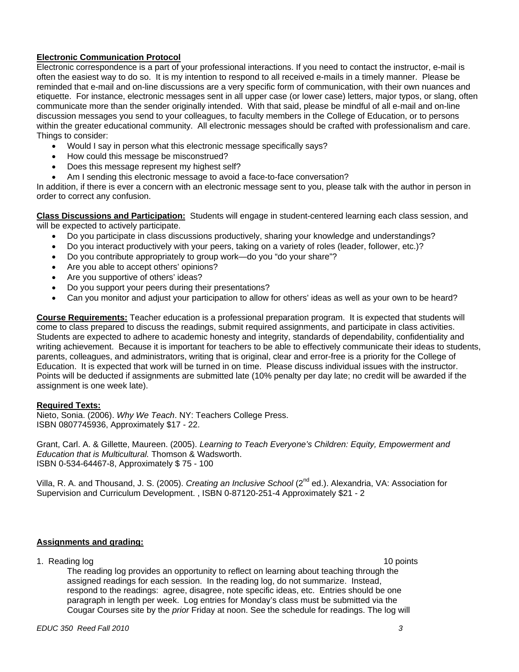## **Electronic Communication Protocol**

Electronic correspondence is a part of your professional interactions. If you need to contact the instructor, e-mail is often the easiest way to do so. It is my intention to respond to all received e-mails in a timely manner. Please be reminded that e-mail and on-line discussions are a very specific form of communication, with their own nuances and etiquette. For instance, electronic messages sent in all upper case (or lower case) letters, major typos, or slang, often communicate more than the sender originally intended. With that said, please be mindful of all e-mail and on-line discussion messages you send to your colleagues, to faculty members in the College of Education, or to persons within the greater educational community. All electronic messages should be crafted with professionalism and care. Things to consider:

- Would I say in person what this electronic message specifically says?
- How could this message be misconstrued?
- Does this message represent my highest self?
- Am I sending this electronic message to avoid a face-to-face conversation?

In addition, if there is ever a concern with an electronic message sent to you, please talk with the author in person in order to correct any confusion.

**Class Discussions and Participation:** Students will engage in student-centered learning each class session, and will be expected to actively participate.

- Do you participate in class discussions productively, sharing your knowledge and understandings?
- Do you interact productively with your peers, taking on a variety of roles (leader, follower, etc.)?
- Do you contribute appropriately to group work—do you "do your share"?
- Are you able to accept others' opinions?
- Are you supportive of others' ideas?
- Do you support your peers during their presentations?
- Can you monitor and adjust your participation to allow for others' ideas as well as your own to be heard?

**Course Requirements:** Teacher education is a professional preparation program. It is expected that students will come to class prepared to discuss the readings, submit required assignments, and participate in class activities. Students are expected to adhere to academic honesty and integrity, standards of dependability, confidentiality and writing achievement. Because it is important for teachers to be able to effectively communicate their ideas to students, parents, colleagues, and administrators, writing that is original, clear and error-free is a priority for the College of Education. It is expected that work will be turned in on time. Please discuss individual issues with the instructor. Points will be deducted if assignments are submitted late (10% penalty per day late; no credit will be awarded if the assignment is one week late).

## **Required Texts:**

Nieto, Sonia. (2006). *Why We Teach*. NY: Teachers College Press. ISBN 0807745936, Approximately \$17 - 22.

Grant, Carl. A. & Gillette, Maureen. (2005). *Learning to Teach Everyone's Children: Equity, Empowerment and Education that is Multicultural.* Thomson & Wadsworth. ISBN 0-534-64467-8, Approximately \$ 75 - 100

Villa, R. A. and Thousand, J. S. (2005). *Creating an Inclusive School* (2nd ed.). Alexandria, VA: Association for Supervision and Curriculum Development. , ISBN 0-87120-251-4 Approximately \$21 - 2

## **Assignments and grading:**

1. Reading log 10 points and 10 points and 10 points are not been applied to the 10 points of the 10 points of the 10 points of the 10 points of the 10 points of the 10 points of the 10 points of the 10 points of the 10 po

The reading log provides an opportunity to reflect on learning about teaching through the assigned readings for each session. In the reading log, do not summarize. Instead, respond to the readings: agree, disagree, note specific ideas, etc. Entries should be one paragraph in length per week. Log entries for Monday's class must be submitted via the Cougar Courses site by the *prior* Friday at noon. See the schedule for readings. The log will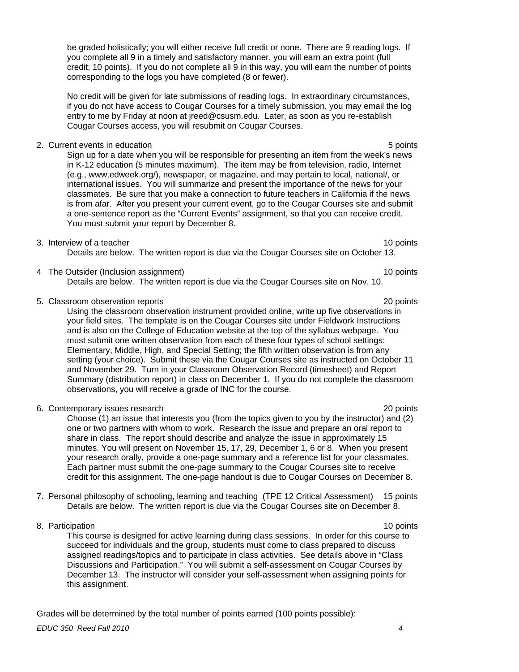be graded holistically; you will either receive full credit or none. There are 9 reading logs. If you complete all 9 in a timely and satisfactory manner, you will earn an extra point (full credit; 10 points). If you do not complete all 9 in this way, you will earn the number of points corresponding to the logs you have completed (8 or fewer).

No credit will be given for late submissions of reading logs. In extraordinary circumstances, if you do not have access to Cougar Courses for a timely submission, you may email the log entry to me by Friday at noon at jreed@csusm.edu. Later, as soon as you re-establish Cougar Courses access, you will resubmit on Cougar Courses.

2. Current events in education **5 points**  $\sim$  5 points **5 points** 

Sign up for a date when you will be responsible for presenting an item from the week's news in K-12 education (5 minutes maximum). The item may be from television, radio, Internet (e.g., www.edweek.org/), newspaper, or magazine, and may pertain to local, national/, or international issues. You will summarize and present the importance of the news for your classmates. Be sure that you make a connection to future teachers in California if the news is from afar. After you present your current event, go to the Cougar Courses site and submit a one-sentence report as the "Current Events" assignment, so that you can receive credit. You must submit your report by December 8.

## 3. Interview of a teacher 10 points and the set of a teacher 10 points of a teacher 10 points of a teacher 10 points of a teacher 10 points of a teacher 10 points of a teacher 10 points of a teacher 10 points of a teacher

Details are below. The written report is due via the Cougar Courses site on October 13.

4 The Outsider (Inclusion assignment) 10 points 10 points

Details are below. The written report is due via the Cougar Courses site on Nov. 10.

5. Classroom observation reports 20 points

Using the classroom observation instrument provided online, write up five observations in your field sites. The template is on the Cougar Courses site under Fieldwork Instructions and is also on the College of Education website at the top of the syllabus webpage. You must submit one written observation from each of these four types of school settings: Elementary, Middle, High, and Special Setting; the fifth written observation is from any setting (your choice). Submit these via the Cougar Courses site as instructed on October 11 and November 29. Turn in your Classroom Observation Record (timesheet) and Report Summary (distribution report) in class on December 1. If you do not complete the classroom observations, you will receive a grade of INC for the course.

6. Contemporary issues research 20 points

Choose (1) an issue that interests you (from the topics given to you by the instructor) and (2) one or two partners with whom to work. Research the issue and prepare an oral report to share in class. The report should describe and analyze the issue in approximately 15 minutes. You will present on November 15, 17, 29, December 1, 6 or 8. When you present your research orally, provide a one-page summary and a reference list for your classmates. Each partner must submit the one-page summary to the Cougar Courses site to receive credit for this assignment. The one-page handout is due to Cougar Courses on December 8.

- 7. Personal philosophy of schooling, learning and teaching (TPE 12 Critical Assessment) 15 points Details are below. The written report is due via the Cougar Courses site on December 8.
- 8. Participation 10 points and the set of the set of the set of the set of the set of the set of the set of the set of the set of the set of the set of the set of the set of the set of the set of the set of the set of the

This course is designed for active learning during class sessions. In order for this course to succeed for individuals and the group, students must come to class prepared to discuss assigned readings/topics and to participate in class activities. See details above in "Class Discussions and Participation." You will submit a self-assessment on Cougar Courses by December 13. The instructor will consider your self-assessment when assigning points for this assignment.

Grades will be determined by the total number of points earned (100 points possible):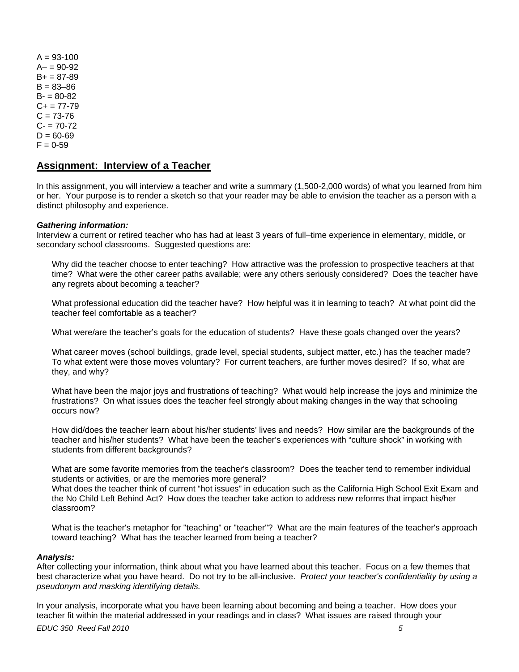$A = 93 - 100$  $A - 90 - 92$  $B+ = 87-89$  $B = 83 - 86$  $B = 80-82$  $C_{+}$  = 77-79  $C = 73 - 76$  $C - 70-72$  $D = 60 - 69$  $F = 0-59$ 

## **Assignment: Interview of a Teacher**

In this assignment, you will interview a teacher and write a summary (1,500-2,000 words) of what you learned from him or her. Your purpose is to render a sketch so that your reader may be able to envision the teacher as a person with a distinct philosophy and experience.

#### *Gathering information:*

Interview a current or retired teacher who has had at least 3 years of full–time experience in elementary, middle, or secondary school classrooms. Suggested questions are:

Why did the teacher choose to enter teaching? How attractive was the profession to prospective teachers at that time? What were the other career paths available; were any others seriously considered? Does the teacher have any regrets about becoming a teacher?

What professional education did the teacher have? How helpful was it in learning to teach? At what point did the teacher feel comfortable as a teacher?

What were/are the teacher's goals for the education of students? Have these goals changed over the years?

What career moves (school buildings, grade level, special students, subject matter, etc.) has the teacher made? To what extent were those moves voluntary? For current teachers, are further moves desired? If so, what are they, and why?

What have been the major joys and frustrations of teaching? What would help increase the joys and minimize the frustrations? On what issues does the teacher feel strongly about making changes in the way that schooling occurs now?

How did/does the teacher learn about his/her students' lives and needs? How similar are the backgrounds of the teacher and his/her students? What have been the teacher's experiences with "culture shock" in working with students from different backgrounds?

What are some favorite memories from the teacher's classroom? Does the teacher tend to remember individual students or activities, or are the memories more general?

What does the teacher think of current "hot issues" in education such as the California High School Exit Exam and the No Child Left Behind Act? How does the teacher take action to address new reforms that impact his/her classroom?

What is the teacher's metaphor for "teaching" or "teacher"? What are the main features of the teacher's approach toward teaching? What has the teacher learned from being a teacher?

#### *Analysis:*

After collecting your information, think about what you have learned about this teacher. Focus on a few themes that best characterize what you have heard. Do not try to be all-inclusive. *Protect your teacher's confidentiality by using a pseudonym and masking identifying details.* 

In your analysis, incorporate what you have been learning about becoming and being a teacher. How does your teacher fit within the material addressed in your readings and in class? What issues are raised through your

*EDUC 350 Reed Fall 2010 5*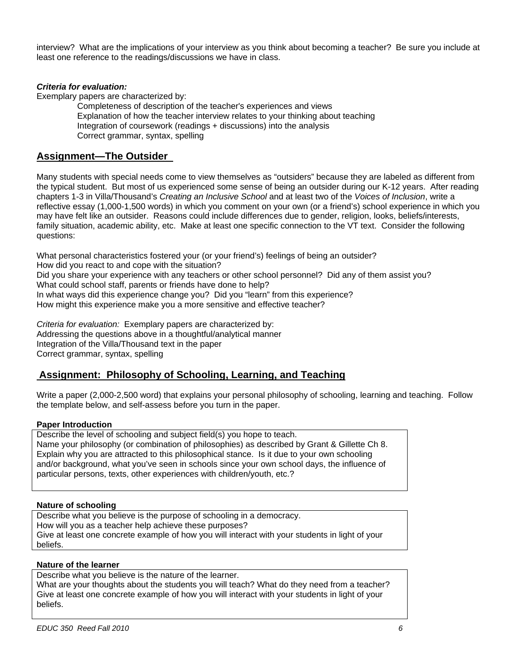interview? What are the implications of your interview as you think about becoming a teacher? Be sure you include at least one reference to the readings/discussions we have in class.

## *Criteria for evaluation:*

Exemplary papers are characterized by:

Completeness of description of the teacher's experiences and views Explanation of how the teacher interview relates to your thinking about teaching Integration of coursework (readings + discussions) into the analysis Correct grammar, syntax, spelling

# **Assignment—The Outsider**

Many students with special needs come to view themselves as "outsiders" because they are labeled as different from the typical student. But most of us experienced some sense of being an outsider during our K-12 years. After reading chapters 1-3 in Villa/Thousand's *Creating an Inclusive School* and at least two of the *Voices of Inclusion*, write a reflective essay (1,000-1,500 words) in which you comment on your own (or a friend's) school experience in which you may have felt like an outsider. Reasons could include differences due to gender, religion, looks, beliefs/interests, family situation, academic ability, etc. Make at least one specific connection to the VT text. Consider the following questions:

What personal characteristics fostered your (or your friend's) feelings of being an outsider? How did you react to and cope with the situation? Did you share your experience with any teachers or other school personnel? Did any of them assist you? What could school staff, parents or friends have done to help? In what ways did this experience change you? Did you "learn" from this experience? How might this experience make you a more sensitive and effective teacher?

*Criteria for evaluation:* Exemplary papers are characterized by: Addressing the questions above in a thoughtful/analytical manner Integration of the Villa/Thousand text in the paper Correct grammar, syntax, spelling

# **Assignment: Philosophy of Schooling, Learning, and Teaching**

Write a paper (2,000-2,500 word) that explains your personal philosophy of schooling, learning and teaching. Follow the template below, and self-assess before you turn in the paper.

## **Paper Introduction**

Describe the level of schooling and subject field(s) you hope to teach. Name your philosophy (or combination of philosophies) as described by Grant & Gillette Ch 8. Explain why you are attracted to this philosophical stance. Is it due to your own schooling and/or background, what you've seen in schools since your own school days, the influence of particular persons, texts, other experiences with children/youth, etc.?

## **Nature of schooling**

Describe what you believe is the purpose of schooling in a democracy. How will you as a teacher help achieve these purposes? Give at least one concrete example of how you will interact with your students in light of your beliefs.

## **Nature of the learner**

Describe what you believe is the nature of the learner. What are your thoughts about the students you will teach? What do they need from a teacher? Give at least one concrete example of how you will interact with your students in light of your beliefs.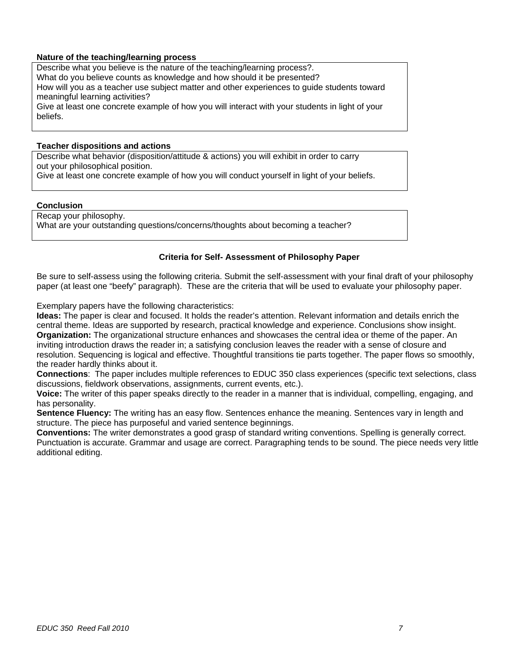## **Nature of the teaching/learning process**

Describe what you believe is the nature of the teaching/learning process?. What do you believe counts as knowledge and how should it be presented? How will you as a teacher use subject matter and other experiences to guide students toward meaningful learning activities? Give at least one concrete example of how you will interact with your students in light of your

#### **Teacher dispositions and actions**

Describe what behavior (disposition/attitude & actions) you will exhibit in order to carry out your philosophical position. Give at least one concrete example of how you will conduct yourself in light of your beliefs.

#### **Conclusion**

beliefs.

Recap your philosophy. What are your outstanding questions/concerns/thoughts about becoming a teacher?

## **Criteria for Self- Assessment of Philosophy Paper**

Be sure to self-assess using the following criteria. Submit the self-assessment with your final draft of your philosophy paper (at least one "beefy" paragraph). These are the criteria that will be used to evaluate your philosophy paper.

Exemplary papers have the following characteristics:

**Ideas:** The paper is clear and focused. It holds the reader's attention. Relevant information and details enrich the central theme. Ideas are supported by research, practical knowledge and experience. Conclusions show insight. **Organization:** The organizational structure enhances and showcases the central idea or theme of the paper. An inviting introduction draws the reader in; a satisfying conclusion leaves the reader with a sense of closure and resolution. Sequencing is logical and effective. Thoughtful transitions tie parts together. The paper flows so smoothly, the reader hardly thinks about it.

**Connections**: The paper includes multiple references to EDUC 350 class experiences (specific text selections, class discussions, fieldwork observations, assignments, current events, etc.).

**Voice:** The writer of this paper speaks directly to the reader in a manner that is individual, compelling, engaging, and has personality.

**Sentence Fluency:** The writing has an easy flow. Sentences enhance the meaning. Sentences vary in length and structure. The piece has purposeful and varied sentence beginnings.

**Conventions:** The writer demonstrates a good grasp of standard writing conventions. Spelling is generally correct. Punctuation is accurate. Grammar and usage are correct. Paragraphing tends to be sound. The piece needs very little additional editing.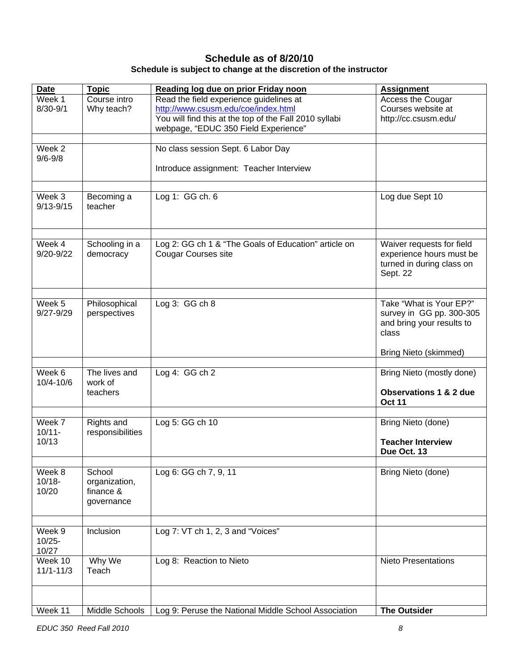# **Schedule as of 8/20/10 Schedule is subject to change at the discretion of the instructor**

| <b>Date</b>              | <b>Topic</b>               | Reading log due on prior Friday noon                                                          | <b>Assignment</b>                                     |
|--------------------------|----------------------------|-----------------------------------------------------------------------------------------------|-------------------------------------------------------|
| Week 1                   | Course intro               | Read the field experience guidelines at                                                       | Access the Cougar                                     |
| $8/30 - 9/1$             | Why teach?                 | http://www.csusm.edu/coe/index.html<br>You will find this at the top of the Fall 2010 syllabi | Courses website at<br>http://cc.csusm.edu/            |
|                          |                            | webpage, "EDUC 350 Field Experience"                                                          |                                                       |
|                          |                            |                                                                                               |                                                       |
| Week 2<br>$9/6 - 9/8$    |                            | No class session Sept. 6 Labor Day                                                            |                                                       |
|                          |                            | Introduce assignment: Teacher Interview                                                       |                                                       |
|                          |                            |                                                                                               |                                                       |
| Week 3                   | Becoming a                 | Log 1: GG ch. 6                                                                               | Log due Sept 10                                       |
| $9/13 - 9/15$            | teacher                    |                                                                                               |                                                       |
|                          |                            |                                                                                               |                                                       |
|                          |                            |                                                                                               |                                                       |
| Week 4                   | Schooling in a             | Log 2: GG ch 1 & "The Goals of Education" article on                                          | Waiver requests for field                             |
| $9/20 - 9/22$            | democracy                  | <b>Cougar Courses site</b>                                                                    | experience hours must be<br>turned in during class on |
|                          |                            |                                                                                               | Sept. 22                                              |
|                          |                            |                                                                                               |                                                       |
| Week 5                   | Philosophical              | Log $3:GGch8$                                                                                 | Take "What is Your EP?"                               |
| $9/27 - 9/29$            | perspectives               |                                                                                               | survey in GG pp. 300-305                              |
|                          |                            |                                                                                               | and bring your results to                             |
|                          |                            |                                                                                               | class                                                 |
|                          |                            |                                                                                               | Bring Nieto (skimmed)                                 |
| Week 6                   | The lives and              | Log 4: GG ch 2                                                                                | Bring Nieto (mostly done)                             |
| 10/4-10/6                | work of                    |                                                                                               |                                                       |
|                          | teachers                   |                                                                                               | <b>Observations 1 &amp; 2 due</b>                     |
|                          |                            |                                                                                               | <b>Oct 11</b>                                         |
| Week 7                   | Rights and                 | Log 5: GG ch 10                                                                               | Bring Nieto (done)                                    |
| $10/11 -$                | responsibilities           |                                                                                               |                                                       |
| 10/13                    |                            |                                                                                               | <b>Teacher Interview</b><br>Due Oct. 13               |
|                          |                            |                                                                                               |                                                       |
| Week 8                   | School                     | Log 6: GG ch 7, 9, 11                                                                         | Bring Nieto (done)                                    |
| $10/18 -$<br>10/20       | organization,<br>finance & |                                                                                               |                                                       |
|                          | governance                 |                                                                                               |                                                       |
|                          |                            |                                                                                               |                                                       |
| Week 9                   | Inclusion                  | Log 7: VT ch 1, 2, 3 and "Voices"                                                             |                                                       |
| $10/25 -$                |                            |                                                                                               |                                                       |
| 10/27                    |                            |                                                                                               |                                                       |
| Week 10<br>$11/1 - 11/3$ | Why We<br>Teach            | Log 8: Reaction to Nieto                                                                      | <b>Nieto Presentations</b>                            |
|                          |                            |                                                                                               |                                                       |
|                          |                            |                                                                                               |                                                       |
| Week 11                  | Middle Schools             | Log 9: Peruse the National Middle School Association                                          | <b>The Outsider</b>                                   |